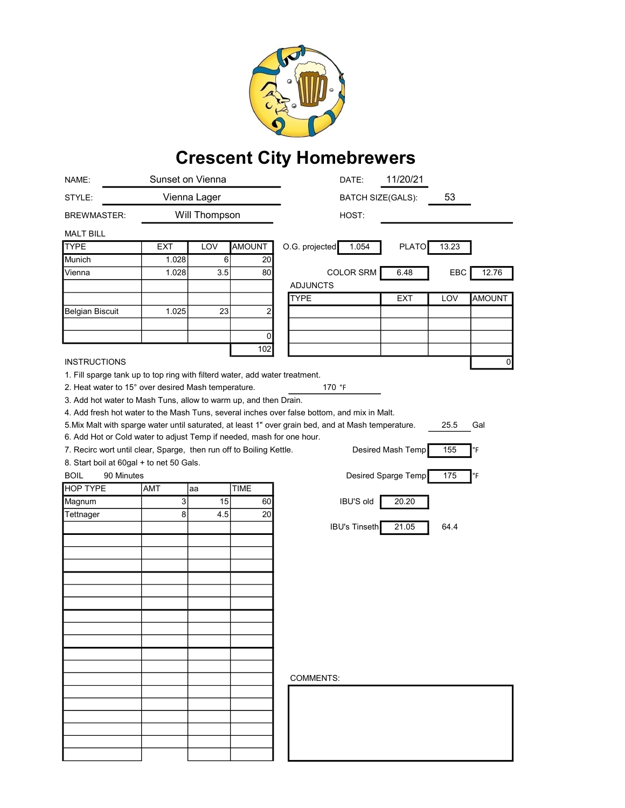

## Crescent City Homebrewers

| NAME:                                                                       |                | Sunset on Vienna |               | 11/20/21<br>DATE:                                                                                                  |
|-----------------------------------------------------------------------------|----------------|------------------|---------------|--------------------------------------------------------------------------------------------------------------------|
| STYLE:                                                                      | Vienna Lager   |                  |               | 53<br><b>BATCH SIZE(GALS):</b>                                                                                     |
| <b>BREWMASTER:</b>                                                          |                | Will Thompson    |               | HOST:                                                                                                              |
| <b>MALT BILL</b>                                                            |                |                  |               |                                                                                                                    |
| <b>TYPE</b>                                                                 | EXT            | LOV              | <b>AMOUNT</b> | O.G. projected<br>1.054<br><b>PLATO</b><br>13.23                                                                   |
| Munich                                                                      | 1.028          | 6                | 20            |                                                                                                                    |
| Vienna                                                                      | 1.028          | 3.5              | 80            | <b>COLOR SRM</b><br>6.48<br>EBC<br>12.76                                                                           |
|                                                                             |                |                  |               | <b>ADJUNCTS</b>                                                                                                    |
|                                                                             |                |                  |               | <b>TYPE</b><br><b>EXT</b><br>LOV<br>AMOUNT                                                                         |
| <b>Belgian Biscuit</b>                                                      | 1.025          | 23               | 2             |                                                                                                                    |
|                                                                             |                |                  |               |                                                                                                                    |
|                                                                             |                |                  | 0             |                                                                                                                    |
|                                                                             |                |                  | 102           |                                                                                                                    |
| <b>INSTRUCTIONS</b>                                                         |                |                  |               | 0                                                                                                                  |
| 1. Fill sparge tank up to top ring with filterd water, add water treatment. |                |                  |               |                                                                                                                    |
| 2. Heat water to 15° over desired Mash temperature.                         |                |                  |               | 170 °F                                                                                                             |
| 3. Add hot water to Mash Tuns, allow to warm up, and then Drain.            |                |                  |               |                                                                                                                    |
|                                                                             |                |                  |               | 4. Add fresh hot water to the Mash Tuns, several inches over false bottom, and mix in Malt.                        |
|                                                                             |                |                  |               | 5. Mix Malt with sparge water until saturated, at least 1" over grain bed, and at Mash temperature.<br>25.5<br>Gal |
| 6. Add Hot or Cold water to adjust Temp if needed, mash for one hour.       |                |                  |               |                                                                                                                    |
| 7. Recirc wort until clear, Sparge, then run off to Boiling Kettle.         |                |                  |               | Desired Mash Temp<br>155<br>°F                                                                                     |
| 8. Start boil at 60gal + to net 50 Gals.                                    |                |                  |               |                                                                                                                    |
| <b>BOIL</b><br>90 Minutes                                                   |                |                  |               | Desired Sparge Temp<br>175<br>°F                                                                                   |
| <b>HOP TYPE</b>                                                             | AMT            | aa               | <b>TIME</b>   |                                                                                                                    |
| Magnum                                                                      | $\overline{3}$ | $\overline{15}$  | 60            | <b>IBU'S old</b><br>20.20                                                                                          |
| Tettnager                                                                   | 8              | 4.5              | 20            |                                                                                                                    |
|                                                                             |                |                  |               | <b>IBU's Tinseth</b><br>21.05<br>64.4                                                                              |
|                                                                             |                |                  |               |                                                                                                                    |
|                                                                             |                |                  |               |                                                                                                                    |
|                                                                             |                |                  |               |                                                                                                                    |
|                                                                             |                |                  |               |                                                                                                                    |
|                                                                             |                |                  |               |                                                                                                                    |
|                                                                             |                |                  |               |                                                                                                                    |
|                                                                             |                |                  |               |                                                                                                                    |
|                                                                             |                |                  |               |                                                                                                                    |
|                                                                             |                |                  |               |                                                                                                                    |
|                                                                             |                |                  |               |                                                                                                                    |
|                                                                             |                |                  |               |                                                                                                                    |
|                                                                             |                |                  |               |                                                                                                                    |
|                                                                             |                |                  |               | <b>COMMENTS:</b>                                                                                                   |
|                                                                             |                |                  |               |                                                                                                                    |
|                                                                             |                |                  |               |                                                                                                                    |
|                                                                             |                |                  |               |                                                                                                                    |
|                                                                             |                |                  |               |                                                                                                                    |
|                                                                             |                |                  |               |                                                                                                                    |
|                                                                             |                |                  |               |                                                                                                                    |